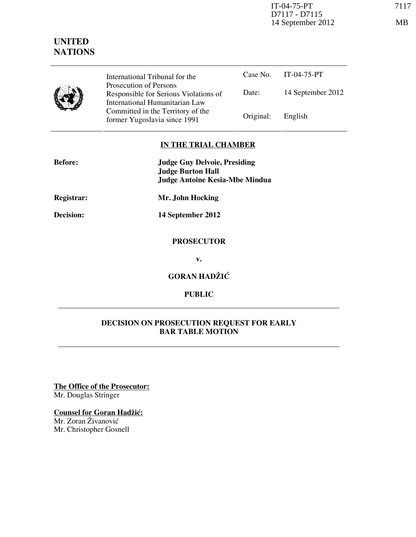

Case No. IT-04-75-PT Date: 14 September 2012 International Tribunal for the Prosecution of Persons Responsible for Serious Violations of International Humanitarian Law Committed in the Territory of the Former Yugoslavia since 1991 Original: English

## **IN THE TRIAL CHAMBER**

| <b>Before:</b>    | <b>Judge Guy Delvoie, Presiding</b><br><b>Judge Burton Hall</b><br><b>Judge Antoine Kesia-Mbe Mindua</b> |
|-------------------|----------------------------------------------------------------------------------------------------------|
| <b>Registrar:</b> | Mr. John Hocking                                                                                         |
| Decision:         | 14 September 2012                                                                                        |
|                   | <b>PROSECUTOR</b>                                                                                        |
|                   | v.                                                                                                       |
|                   |                                                                                                          |

**GORAN HADŽIĆ** 

**PUBLIC**

## **DECISION ON PROSECUTION REQUEST FOR EARLY BAR TABLE MOTION**

**The Office of the Prosecutor:** Mr. Douglas Stringer

**Counsel for Goran Hadžić:** 

Mr. Zoran Živanović Mr. Christopher Gosnell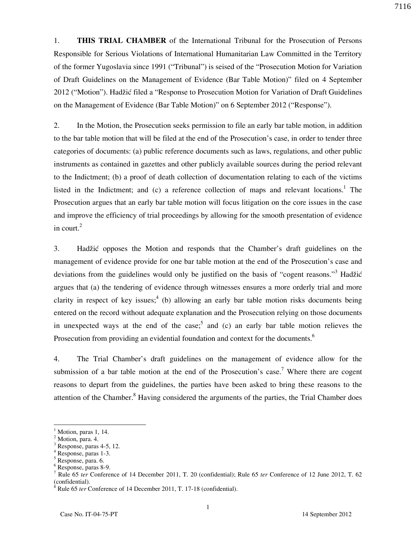1. **THIS TRIAL CHAMBER** of the International Tribunal for the Prosecution of Persons Responsible for Serious Violations of International Humanitarian Law Committed in the Territory of the former Yugoslavia since 1991 ("Tribunal") is seised of the "Prosecution Motion for Variation of Draft Guidelines on the Management of Evidence (Bar Table Motion)" filed on 4 September 2012 ("Motion"). Hadžić filed a "Response to Prosecution Motion for Variation of Draft Guidelines on the Management of Evidence (Bar Table Motion)" on 6 September 2012 ("Response").

2. In the Motion, the Prosecution seeks permission to file an early bar table motion, in addition to the bar table motion that will be filed at the end of the Prosecution's case, in order to tender three categories of documents: (a) public reference documents such as laws, regulations, and other public instruments as contained in gazettes and other publicly available sources during the period relevant to the Indictment; (b) a proof of death collection of documentation relating to each of the victims listed in the Indictment; and (c) a reference collection of maps and relevant locations.<sup>1</sup> The Prosecution argues that an early bar table motion will focus litigation on the core issues in the case and improve the efficiency of trial proceedings by allowing for the smooth presentation of evidence in court. $2$ 

3. Had`i} opposes the Motion and responds that the Chamber's draft guidelines on the management of evidence provide for one bar table motion at the end of the Prosecution's case and deviations from the guidelines would only be justified on the basis of "cogent reasons."<sup>3</sup> Hadžić argues that (a) the tendering of evidence through witnesses ensures a more orderly trial and more clarity in respect of key issues;<sup>4</sup> (b) allowing an early bar table motion risks documents being entered on the record without adequate explanation and the Prosecution relying on those documents in unexpected ways at the end of the case;<sup>5</sup> and (c) an early bar table motion relieves the Prosecution from providing an evidential foundation and context for the documents.<sup>6</sup>

4. The Trial Chamber's draft guidelines on the management of evidence allow for the submission of a bar table motion at the end of the Prosecution's case.<sup>7</sup> Where there are cogent reasons to depart from the guidelines, the parties have been asked to bring these reasons to the attention of the Chamber.<sup>8</sup> Having considered the arguments of the parties, the Trial Chamber does

 $\overline{a}$ 

<sup>1</sup> Motion, paras 1, 14.

<sup>2</sup> Motion, para. 4.

<sup>3</sup> Response, paras 4-5, 12.

<sup>4</sup> Response, paras 1-3.

<sup>5</sup> Response, para. 6.

<sup>6</sup> Response, paras 8-9.

<sup>7</sup> Rule 65 *ter* Conference of 14 December 2011, T. 20 (confidential); Rule 65 *ter* Conference of 12 June 2012, T. 62 (confidential).

<sup>8</sup> Rule 65 *ter* Conference of 14 December 2011, T. 17-18 (confidential).